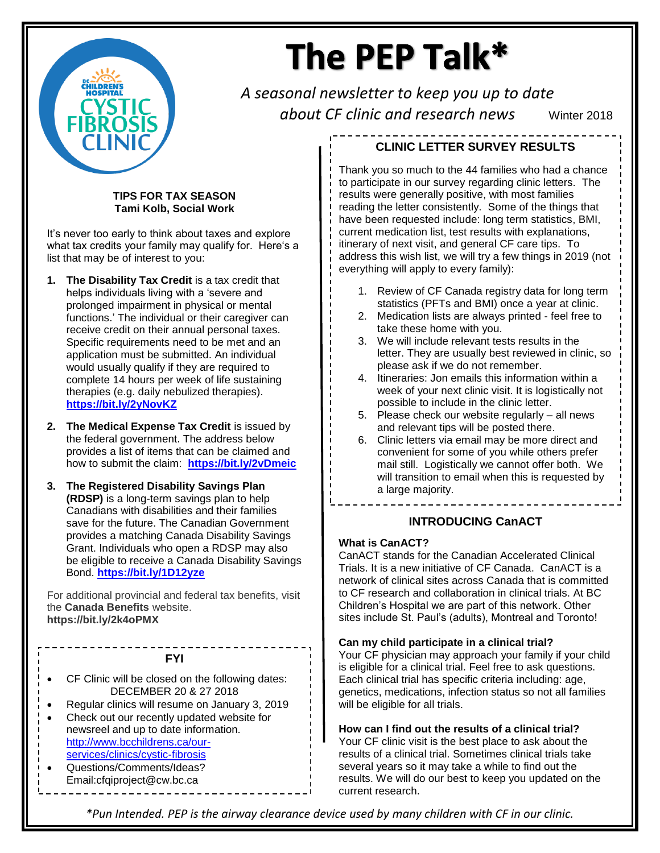

# The PEP Talk\*

*A seasonal newsletter to keep you up to date about CF clinic and research news* Winter 2018

#### **TIPS FOR TAX SEASON Tami Kolb, Social Work**

It's never too early to think about taxes and explore what tax credits your family may qualify for. Here's a list that may be of interest to you:

- **1. The Disability Tax Credit** is a tax credit that helps individuals living with a 'severe and prolonged impairment in physical or mental functions.' The individual or their caregiver can receive credit on their annual personal taxes. Specific requirements need to be met and an application must be submitted. An individual would usually qualify if they are required to complete 14 hours per week of life sustaining therapies (e.g. daily nebulized therapies). **<https://bit.ly/2yNovKZ>**
- **2. The Medical Expense Tax Credit** is issued by the federal government. The address below provides a list of items that can be claimed and how to submit the claim: **<https://bit.ly/2vDmeic>**
- **3. The Registered Disability Savings Plan (RDSP)** is a long-term savings plan to help Canadians with disabilities and their families save for the future. The Canadian Government provides a matching Canada Disability Savings Grant. Individuals who open a RDSP may also be eligible to receive a Canada Disability Savings Bond. **<https://bit.ly/1D12yze>**

For additional provincial and federal tax benefits, visit the **Canada Benefits** website. **https://bit.ly/2k4oPMX**

#### **FYI**

- CF Clinic will be closed on the following dates: DECEMBER 20 & 27 2018
- Regular clinics will resume on January 3, 2019
- Check out our recently updated website for newsreel and up to date information. [http://www.bcchildrens.ca/our](http://www.bcchildrens.ca/our-services/clinics/cystic-fibrosis)[services/clinics/cystic-fibrosis](http://www.bcchildrens.ca/our-services/clinics/cystic-fibrosis)
- Questions/Comments/Ideas? Email:cfqiproject@cw.bc.ca

# **CLINIC LETTER SURVEY RESULTS**

Thank you so much to the 44 families who had a chance to participate in our survey regarding clinic letters. The results were generally positive, with most families reading the letter consistently. Some of the things that have been requested include: long term statistics, BMI, current medication list, test results with explanations, itinerary of next visit, and general CF care tips. To address this wish list, we will try a few things in 2019 (not everything will apply to every family):

- 1. Review of CF Canada registry data for long term statistics (PFTs and BMI) once a year at clinic.
- 2. Medication lists are always printed feel free to take these home with you.
- 3. We will include relevant tests results in the letter. They are usually best reviewed in clinic, so please ask if we do not remember.
- 4. Itineraries: Jon emails this information within a week of your next clinic visit. It is logistically not possible to include in the clinic letter.
- 5. Please check our website regularly all news and relevant tips will be posted there.
- 6. Clinic letters via email may be more direct and convenient for some of you while others prefer mail still. Logistically we cannot offer both. We will transition to email when this is requested by a large majority.

## **INTRODUCING CanACT**

#### **What is CanACT?**

CanACT stands for the Canadian Accelerated Clinical Trials. It is a new initiative of CF Canada. CanACT is a network of clinical sites across Canada that is committed to CF research and collaboration in clinical trials. At BC Children's Hospital we are part of this network. Other sites include St. Paul's (adults), Montreal and Toronto!

#### **Can my child participate in a clinical trial?**

Your CF physician may approach your family if your child is eligible for a clinical trial. Feel free to ask questions. Each clinical trial has specific criteria including: age, genetics, medications, infection status so not all families will be eligible for all trials.

**How can I find out the results of a clinical trial?**

Your CF clinic visit is the best place to ask about the results of a clinical trial. Sometimes clinical trials take several years so it may take a while to find out the results. We will do our best to keep you updated on the current research.

*\*Pun Intended. PEP is the airway clearance device used by many children with CF in our clinic.*